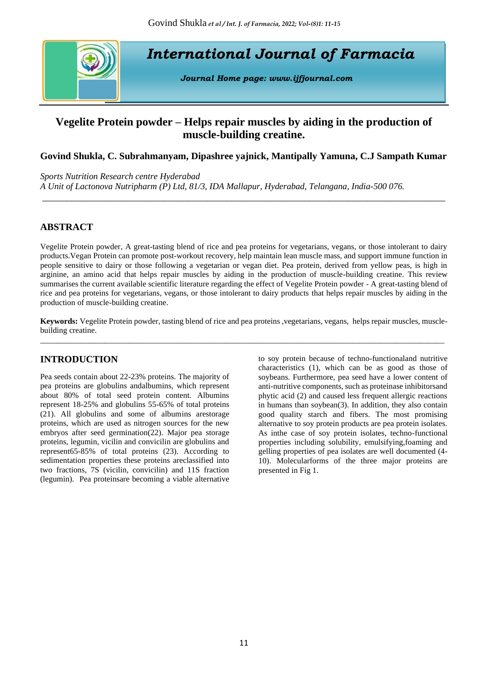

# **Vegelite Protein powder – Helps repair muscles by aiding in the production of muscle-building creatine.**

## **Govind Shukla, C. Subrahmanyam, Dipashree yajnick, Mantipally Yamuna, C.J Sampath Kumar**

*\_\_\_\_\_\_\_\_\_\_\_\_\_\_\_\_\_\_\_\_\_\_\_\_\_\_\_\_\_\_\_\_\_\_\_\_\_\_\_\_\_\_\_\_\_\_\_\_\_\_\_\_\_\_\_\_\_\_\_\_\_\_\_\_\_\_\_\_\_\_\_\_\_\_\_\_\_\_\_\_\_\_\_*

*Sports Nutrition Research centre Hyderabad A Unit of Lactonova Nutripharm (P) Ltd, 81/3, IDA Mallapur, Hyderabad, Telangana, India-500 076.* 

## **ABSTRACT**

Vegelite Protein powder, A great-tasting blend of rice and pea proteins for vegetarians, vegans, or those intolerant to dairy products.Vegan Protein can promote post-workout recovery, help maintain lean muscle mass, and support immune function in people sensitive to dairy or those following a vegetarian or vegan diet. Pea protein, derived from yellow peas, is high in arginine, an amino acid that helps repair muscles by aiding in the production of muscle-building creatine. This review summarises the current available scientific literature regarding the effect of Vegelite Protein powder - A great-tasting blend of rice and pea proteins for vegetarians, vegans, or those intolerant to dairy products that helps repair muscles by aiding in the production of muscle-building creatine.

**Keywords:** Vegelite Protein powder, tasting blend of rice and pea proteins ,vegetarians, vegans, helps repair muscles, musclebuilding creatine. \_\_\_\_\_\_\_\_\_\_\_\_\_\_\_\_\_\_\_\_\_\_\_\_\_\_\_\_\_\_\_\_\_\_\_\_\_\_\_\_\_\_\_\_\_\_\_\_\_\_\_\_\_\_\_\_\_\_\_\_\_\_\_\_\_\_\_\_\_\_\_\_\_\_\_\_\_\_\_\_\_\_\_\_\_\_\_\_\_\_\_\_\_\_\_\_\_\_\_\_

## **INTRODUCTION**

Pea seeds contain about 22-23% proteins. The majority of pea proteins are globulins andalbumins, which represent about 80% of total seed protein content. Albumins represent 18-25% and globulins 55-65% of total proteins (21). All globulins and some of albumins arestorage proteins, which are used as nitrogen sources for the new embryos after seed germination(22). Major pea storage proteins, legumin, vicilin and convicilin are globulins and represent65-85% of total proteins (23). According to sedimentation properties these proteins areclassified into two fractions, 7S (vicilin, convicilin) and 11S fraction (legumin). Pea proteinsare becoming a viable alternative

to soy protein because of techno-functionaland nutritive characteristics (1), which can be as good as those of soybeans. Furthermore, pea seed have a lower content of anti-nutritive components, such as proteinase inhibitorsand phytic acid (2) and caused less frequent allergic reactions in humans than soybean(3). In addition, they also contain good quality starch and fibers. The most promising alternative to soy protein products are pea protein isolates. As inthe case of soy protein isolates, techno-functional properties including solubility, emulsifying,foaming and gelling properties of pea isolates are well documented (4- 10). Molecularforms of the three major proteins are presented in Fig 1.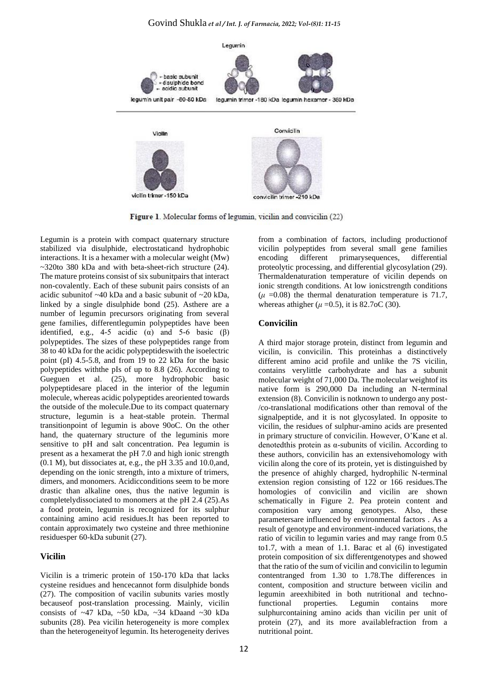

Figure 1. Molecular forms of legumin, vicilin and convicilin (22)

Legumin is a protein with compact quaternary structure stabilized via disulphide, electrostaticand hydrophobic interactions. It is a hexamer with a molecular weight (Mw) ~320to 380 kDa and with beta-sheet-rich structure (24). The mature proteins consist of six subunitpairs that interact non-covalently. Each of these subunit pairs consists of an acidic subunitof ~40 kDa and a basic subunit of ~20 kDa, linked by a single disulphide bond (25). Asthere are a number of legumin precursors originating from several gene families, differentlegumin polypeptides have been identified, e.g., 4-5 acidic ( $\alpha$ ) and 5-6 basic ( $\beta$ ) polypeptides. The sizes of these polypeptides range from 38 to 40 kDa for the acidic polypeptideswith the isoelectric point (pI) 4.5-5.8, and from 19 to 22 kDa for the basic polypeptides withthe pIs of up to 8.8 (26). According to Gueguen et al. (25), more hydrophobic basic polypeptidesare placed in the interior of the legumin molecule, whereas acidic polypeptides areoriented towards the outside of the molecule.Due to its compact quaternary structure, legumin is a heat-stable protein. Thermal transitionpoint of legumin is above 90oC. On the other hand, the quaternary structure of the leguminis more sensitive to pH and salt concentration. Pea legumin is present as a hexamerat the pH 7.0 and high ionic strength (0.1 M), but dissociates at, e.g., the pH 3.35 and 10.0,and, depending on the ionic strength, into a mixture of trimers, dimers, and monomers. Acidicconditions seem to be more drastic than alkaline ones, thus the native legumin is completelydissociated to monomers at the pH 2.4 (25).As a food protein, legumin is recognized for its sulphur containing amino acid residues.It has been reported to contain approximately two cysteine and three methionine residuesper 60-kDa subunit (27).

## **Vicilin**

Vicilin is a trimeric protein of 150-170 kDa that lacks cysteine residues and hencecannot form disulphide bonds (27). The composition of vacilin subunits varies mostly becauseof post-translation processing. Mainly, vicilin consists of ~47 kDa, ~50 kDa, ~34 kDaand ~30 kDa subunits (28). Pea vicilin heterogeneity is more complex than the heterogeneityof legumin. Its heterogeneity derives

from a combination of factors, including productionof vicilin polypeptides from several small gene families encoding different primarysequences, differential proteolytic processing, and differential glycosylation (29). Thermaldenaturation temperature of vicilin depends on ionic strength conditions. At low ionicstrength conditions  $(\mu = 0.08)$  the thermal denaturation temperature is 71.7, whereas athigher ( $\mu$  =0.5), it is 82.7oC (30).

## **Convicilin**

A third major storage protein, distinct from legumin and vicilin, is convicilin. This proteinhas a distinctively different amino acid profile and unlike the 7S vicilin, contains verylittle carbohydrate and has a subunit molecular weight of 71,000 Da. The molecular weightof its native form is 290,000 Da including an N-terminal extension (8). Convicilin is notknown to undergo any post- /co-translational modifications other than removal of the signalpeptide, and it is not glycosylated. In opposite to vicilin, the residues of sulphur-amino acids are presented in primary structure of convicilin. However, O'Kane et al. denotedthis protein as α-subunits of vicilin. According to these authors, convicilin has an extensivehomology with vicilin along the core of its protein, yet is distinguished by the presence of ahighly charged, hydrophilic N-terminal extension region consisting of 122 or 166 residues.The homologies of convicilin and vicilin are shown schematically in Figure 2. Pea protein content and composition vary among genotypes. Also, these parametersare influenced by environmental factors . As a result of genotype and environment-induced variations, the ratio of vicilin to legumin varies and may range from 0.5 to1.7, with a mean of 1.1. Barac et al (6) investigated protein composition of six differentgenotypes and showed that the ratio of the sum of vicilin and convicilin to legumin contentranged from 1.30 to 1.78.The differences in content, composition and structure between vicilin and legumin areexhibited in both nutritional and technofunctional properties. Legumin contains more sulphurcontaining amino acids than vicilin per unit of protein (27), and its more availablefraction from a nutritional point.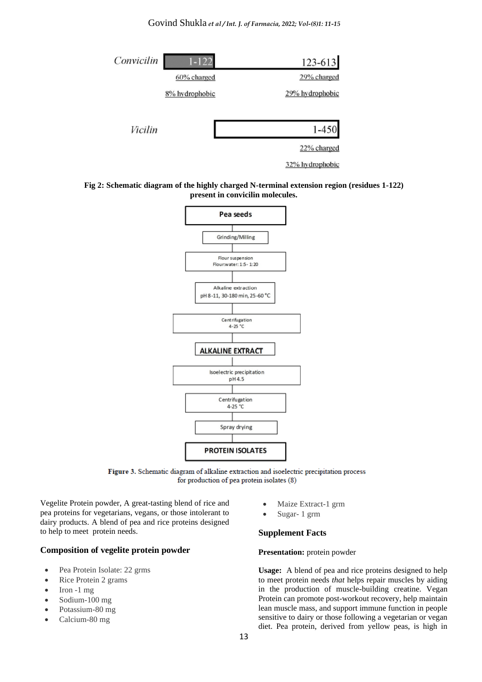## Govind Shukla *et al / Int. J. of Farmacia, 2022; Vol-(8)1: 11-15*



#### **Fig 2: Schematic diagram of the highly charged N-terminal extension region (residues 1-122) present in convicilin molecules.**



Figure 3. Schematic diagram of alkaline extraction and isoelectric precipitation process for production of pea protein isolates (8)

Vegelite Protein powder, A great-tasting blend of rice and pea proteins for vegetarians, vegans, or those intolerant to dairy products. A blend of pea and rice proteins designed to help to meet protein needs.

#### **Composition of vegelite protein powder**

- Pea Protein Isolate: 22 grms
- Rice Protein 2 grams
- Iron -1 mg
- Sodium-100 mg
- Potassium-80 mg
- Calcium-80 mg
- Maize Extract-1 grm
- Sugar- 1 grm

#### **Supplement Facts**

#### **Presentation:** protein powder

**Usage:** A blend of pea and rice proteins designed to help to meet protein needs *that* helps repair muscles by aiding in the production of muscle-building creatine. Vegan Protein can promote post-workout recovery, help maintain lean muscle mass, and support immune function in people sensitive to dairy or those following a vegetarian or vegan diet. Pea protein, derived from yellow peas, is high in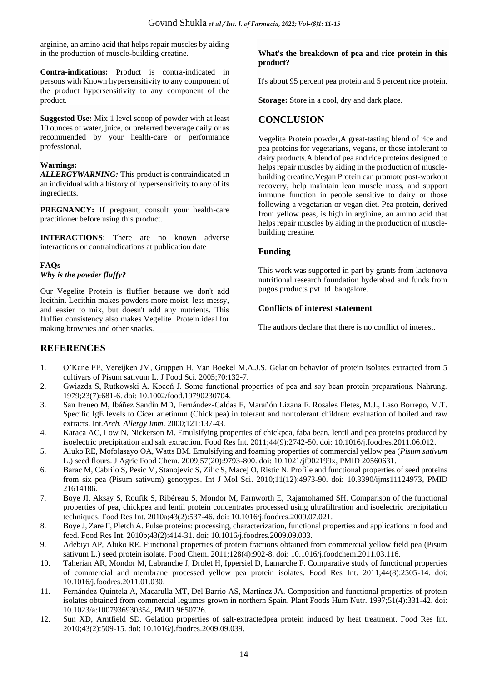arginine, an amino acid that helps repair muscles by aiding in the production of muscle-building creatine.

**Contra-indications:** Product is contra-indicated in persons with Known hypersensitivity to any component of the product hypersensitivity to any component of the product.

**Suggested Use:** Mix 1 level scoop of powder with at least 10 ounces of water, juice, or preferred beverage daily or as recommended by your health-care or performance professional.

#### **Warnings:**

*ALLERGYWARNING:* This product is contraindicated in an individual with a history of hypersensitivity to any of its ingredients.

**PREGNANCY:** If pregnant, consult your health-care practitioner before using this product.

**INTERACTIONS**: There are no known adverse interactions or contraindications at publication date

### **FAQs**

*Why is the powder fluffy?*

Our Vegelite Protein is fluffier because we don't add lecithin. Lecithin makes powders more moist, less messy, and easier to mix, but doesn't add any nutrients. This fluffier consistency also makes Vegelite Protein ideal for making brownies and other snacks.

#### **What's the breakdown of pea and rice protein in this product?**

It's about 95 percent pea protein and 5 percent rice protein.

**Storage:** Store in a cool, dry and dark place.

## **CONCLUSION**

Vegelite Protein powder,A great-tasting blend of rice and pea proteins for vegetarians, vegans, or those intolerant to dairy products.A blend of pea and rice proteins designed to helps repair muscles by aiding in the production of musclebuilding creatine.Vegan Protein can promote post-workout recovery, help maintain lean muscle mass, and support immune function in people sensitive to dairy or those following a vegetarian or vegan diet. Pea protein, derived from yellow peas, is high in arginine, an amino acid that helps repair muscles by aiding in the production of musclebuilding creatine.

### **Funding**

This work was supported in part by grants from lactonova nutritional research foundation hyderabad and funds from pugos products pvt ltd bangalore.

### **Conflicts of interest statement**

The authors declare that there is no conflict of interest.

## **REFERENCES**

- 1. O'Kane FE, Vereijken JM, Gruppen H. Van Boekel M.A.J.S. Gelation behavior of protein isolates extracted from 5 cultivars of Pisum sativum L. J Food Sci. 2005;70:132-7.
- 2. Gwiazda S, Rutkowski A, Kocoń J. Some functional properties of pea and soy bean protein preparations. Nahrung. 1979;23(7):681-6. doi[: 10.1002/food.19790230704.](https://doi.org/10.1002/food.19790230704)
- 3. San Ireneo M, Ibáñez Sandín MD, Fernández-Caldas E, Marañón Lizana F. Rosales Fletes, M.J., Laso Borrego, M.T. Specific IgE levels to Cicer arietinum (Chick pea) in tolerant and nontolerant children: evaluation of boiled and raw extracts. Int*.Arch. Allergy Imm*. 2000;121:137-43.
- 4. Karaca AC, Low N, Nickerson M. Emulsifying properties of chickpea, faba bean, lentil and pea proteins produced by isoelectric precipitation and salt extraction. Food Res Int. 2011;44(9):2742-50. doi: [10.1016/j.foodres.2011.06.012.](https://doi.org/10.1016/j.foodres.2011.06.012)
- 5. Aluko RE, Mofolasayo OA, Watts BM. Emulsifying and foaming properties of commercial yellow pea (*Pisum sativum* L.) seed flours. J Agric Food Chem. 2009;57(20):9793-800. doi: [10.1021/jf902199x,](https://doi.org/10.1021/jf902199x) PMID [20560631.](https://www.ncbi.nlm.nih.gov/pubmed/20560631)
- 6. Barac M, Cabrilo S, Pesic M, Stanojevic S, Zilic S, Macej O, Ristic N. Profile and functional properties of seed proteins from six pea (Pisum sativum) genotypes. Int J Mol Sci. 2010;11(12):4973-90. doi: [10.3390/ijms11124973,](https://doi.org/10.3390/ijms11124973) PMID [21614186.](https://www.ncbi.nlm.nih.gov/pubmed/21614186)
- 7. Boye JI, Aksay S, Roufik S, Ribéreau S, Mondor M, Farnworth E, Rajamohamed SH. Comparison of the functional properties of pea, chickpea and lentil protein concentrates processed using ultrafiltration and isoelectric precipitation techniques. Food Res Int. 2010a;43(2):537-46. doi[: 10.1016/j.foodres.2009.07.021.](https://doi.org/10.1016/j.foodres.2009.07.021)
- 8. Boye J, Zare F, Pletch A. Pulse proteins: processing, characterization, functional properties and applications in food and feed. Food Res Int. 2010b;43(2):414-31. doi[: 10.1016/j.foodres.2009.09.003.](https://doi.org/10.1016/j.foodres.2009.09.003)
- 9. Adebiyi AP, Aluko RE. Functional properties of protein fractions obtained from commercial yellow field pea (Pisum sativum L.) seed protein isolate. Food Chem. 2011;128(4):902-8. doi: [10.1016/j.foodchem.2011.03.116.](https://doi.org/10.1016/j.foodchem.2011.03.116)
- 10. Taherian AR, Mondor M, Labranche J, Drolet H, Ippersiel D, Lamarche F. Comparative study of functional properties of commercial and membrane processed yellow pea protein isolates. Food Res Int. 2011;44(8):2505-14. doi: [10.1016/j.foodres.2011.01.030.](https://doi.org/10.1016/j.foodres.2011.01.030)
- 11. Fernández-Quintela A, Macarulla MT, Del Barrio AS, Martínez JA. Composition and functional properties of protein isolates obtained from commercial legumes grown in northern Spain. Plant Foods Hum Nutr. 1997;51(4):331-42. doi: [10.1023/a:1007936930354,](https://doi.org/10.1023/a:1007936930354) PMID [9650726.](https://www.ncbi.nlm.nih.gov/pubmed/9650726)
- 12. Sun XD, Arntfield SD. Gelation properties of salt-extractedpea protein induced by heat treatment. Food Res Int. 2010;43(2):509-15. doi[: 10.1016/j.foodres.2009.09.039.](https://doi.org/10.1016/j.foodres.2009.09.039)